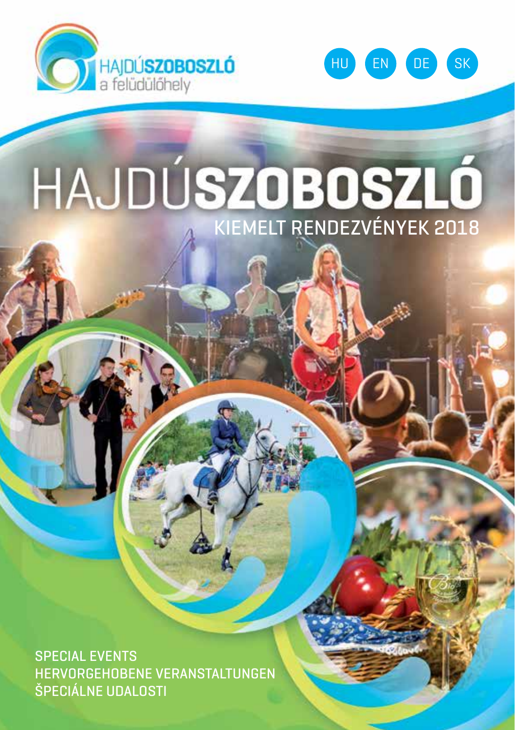



# HAJDÚSZOBOSZLÓ Kiemelt RENDEZVÉNYEK 2018

special events HERVORGEHOBENE VERANSTALTUNGEn ŠPECIÁLNE UDALOSTI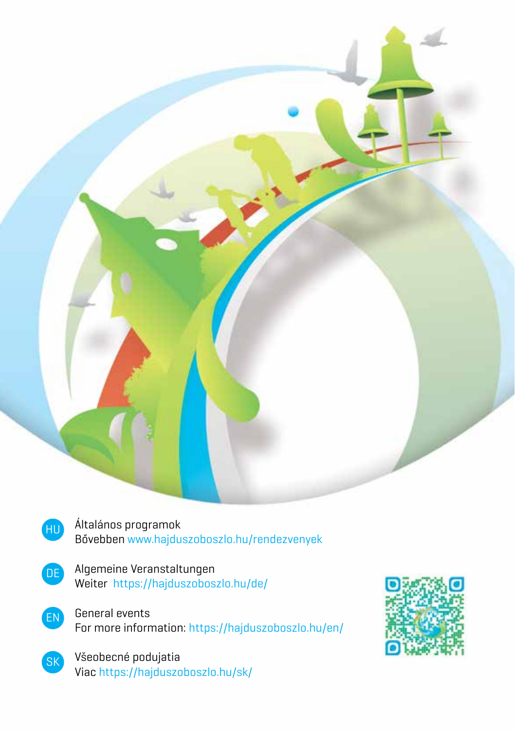

- HU Általános programok Bővebben www.hajduszoboszlo.hu/rendezvenyek
- DE Algemeine Veranstaltungen Weiter https://hajduszoboszlo.hu/de/
- EN General events For more information: https://hajduszoboszlo.hu/en/
- SK Všeobecné podujatia Viac https://hajduszoboszlo.hu/sk/

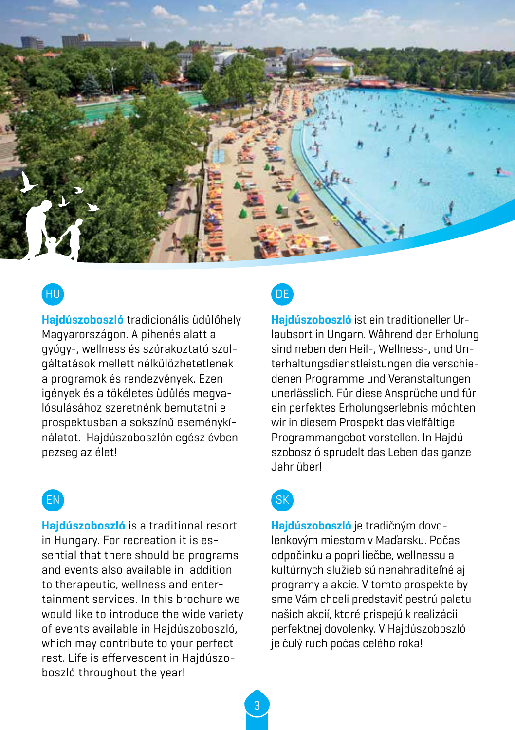

#### HU DE L'ANNO DE L'ANNO DE L'ANNO DE L'ANNO DE L'ANNO DE L'ANNO DE L'ANNO DE L'ANNO DE L'ANNO DE L'ANNO DE L'AN

**Hajdúszoboszló** tradicionális üdülőhely Magyarországon. A pihenés alatt a gyógy-, wellness és szórakoztató szolgáltatások mellett nélkülözhetetlenek a programok és rendezvények. Ezen igények és a tökéletes üdülés megvalósulásához szeretnénk bemutatni e prospektusban a sokszínű eseménykínálatot. Hajdúszoboszlón egész évben pezseg az élet!

### EN SK

**Hajdúszoboszló** is a traditional resort in Hungary. For recreation it is essential that there should be programs and events also available in addition to therapeutic, wellness and entertainment services. In this brochure we would like to introduce the wide variety of events available in Hajdúszoboszló, which may contribute to your perfect rest. Life is effervescent in Hajdúszoboszló throughout the year!



**Hajdúszoboszló** ist ein traditioneller Urlaubsort in Ungarn. Während der Erholung sind neben den Heil-, Wellness-, und Unterhaltungsdienstleistungen die verschiedenen Programme und Veranstaltungen unerlässlich. Für diese Ansprüche und für ein perfektes Erholungserlebnis möchten wir in diesem Prospekt das vielfältige Programmangebot vorstellen. In Hajdúszoboszló sprudelt das Leben das ganze Jahr über!

**Hajdúszoboszló** je tradičným dovolenkovým miestom v Maďarsku. Počas odpočinku a popri liečbe, wellnessu a kultúrnych služieb sú nenahraditeľné aj programy a akcie. V tomto prospekte by sme Vám chceli predstaviť pestrú paletu našich akcií, ktoré prispejú k realizácii perfektnej dovolenky. V Hajdúszoboszló je čulý ruch počas celého roka!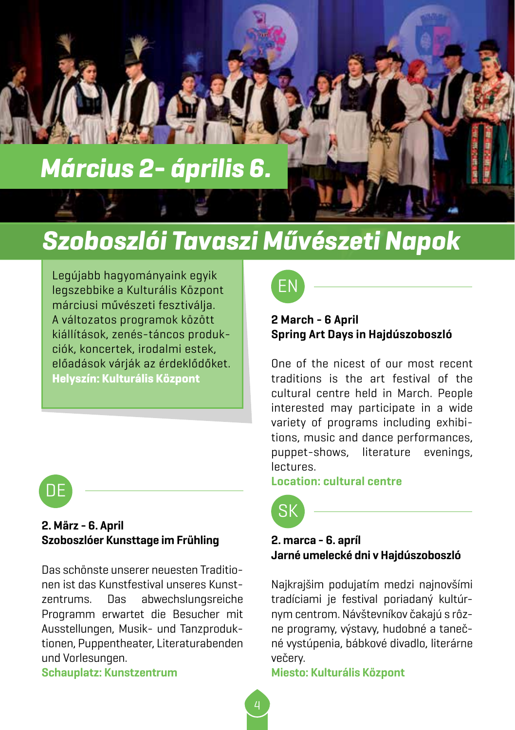

# *Március 2- április 6.*

# *Szoboszlói Tavaszi Művészeti Napok*

Legújabb hagyományaink egyik legszebbike a Kulturális Központ márciusi művészeti fesztiválja. A változatos programok között kiállítások, zenés-táncos produkciók, koncertek, irodalmi estek, előadások várják az érdeklődőket. **Helyszín: Kulturális Központ**



#### **2. März - 6. April Szoboszlóer Kunsttage im Frühling**

Das schönste unserer neuesten Traditionen ist das Kunstfestival unseres Kunstzentrums. Das abwechslungsreiche Programm erwartet die Besucher mit Ausstellungen, Musik- und Tanzproduktionen, Puppentheater, Literaturabenden und Vorlesungen.

**Schauplatz: Kunstzentrum**



#### **2 March - 6 April Spring Art Days in Hajdúszoboszló**

One of the nicest of our most recent traditions is the art festival of the cultural centre held in March. People interested may participate in a wide variety of programs including exhibitions, music and dance performances, puppet-shows, literature evenings, lectures.

#### **Location: cultural centre**



#### **2. marca - 6. apríl Jarné umelecké dni v Hajdúszoboszló**

Najkrajšim podujatím medzi najnovšími tradíciami je festival poriadaný kultúrnym centrom. Návštevníkov čakajú s rôzne programy, výstavy, hudobné a tanečné vystúpenia, bábkové divadlo, literárne večery.

**Miesto: Kulturális Központ**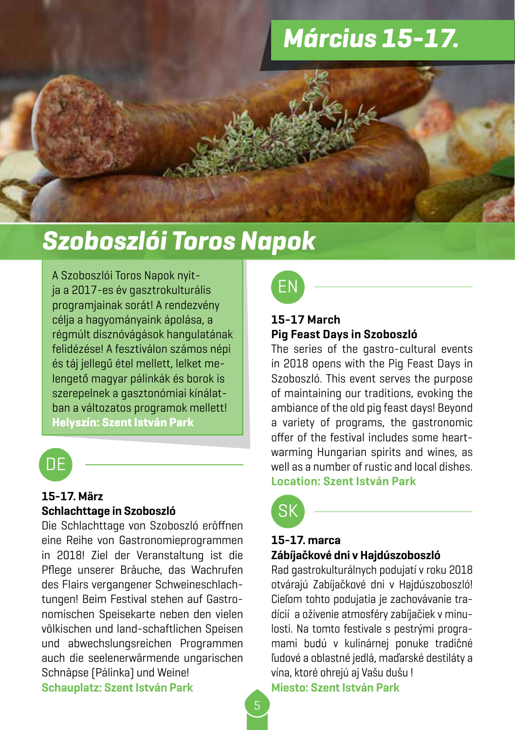# *Március 15-17.*

# *Szoboszlói Toros Napok*

A Szoboszlói Toros Napok nyitja a 2017-es év gasztrokulturális programjainak sorát! A rendezvény célja a hagyományaink ápolása, a régmúlt disznóvágások hangulatának felidézése! A fesztiválon számos népi és táj jellegű étel mellett, lelket melengető magyar pálinkák és borok is szerepelnek a gasztonómiai kínálatban a változatos programok mellett! **Helyszín: Szent István Park**



#### **15-17. März Schlachttage in Szoboszló**

Die Schlachttage von Szoboszló eröffnen eine Reihe von Gastronomieprogrammen in 2018! Ziel der Veranstaltung ist die Pflege unserer Bräuche, das Wachrufen des Flairs vergangener Schweineschlachtungen! Beim Festival stehen auf Gastronomischen Speisekarte neben den vielen völkischen und land-schaftlichen Speisen und abwechslungsreichen Programmen auch die seelenerwärmende ungarischen Schnäpse (Pálinka) und Weine! **Schauplatz: Szent István Park**



#### **15-17 March Pig Feast Days in Szoboszló**

The series of the gastro-cultural events in 2018 opens with the Pig Feast Days in Szoboszló. This event serves the purpose of maintaining our traditions, evoking the ambiance of the old pig feast days! Beyond a variety of programs, the gastronomic offer of the festival includes some heartwarming Hungarian spirits and wines, as well as a number of rustic and local dishes. **Location: Szent István Park**



#### **15-17. marca Zábíjačkové dni v Hajdúszoboszló**

Rad gastrokulturálnych podujatí v roku 2018 otvárajú Zabíjačkové dni v Hajdúszoboszló! Cieľom tohto podujatia je zachovávanie tradícií a oživenie atmosféry zabíjačiek v minulosti. Na tomto festivale s pestrými programami budú v kulinárnej ponuke tradičné ľudové a oblastné jedlá, maďarské destiláty a vína, ktoré ohrejú aj Vašu dušu ! **Miesto: Szent István Park**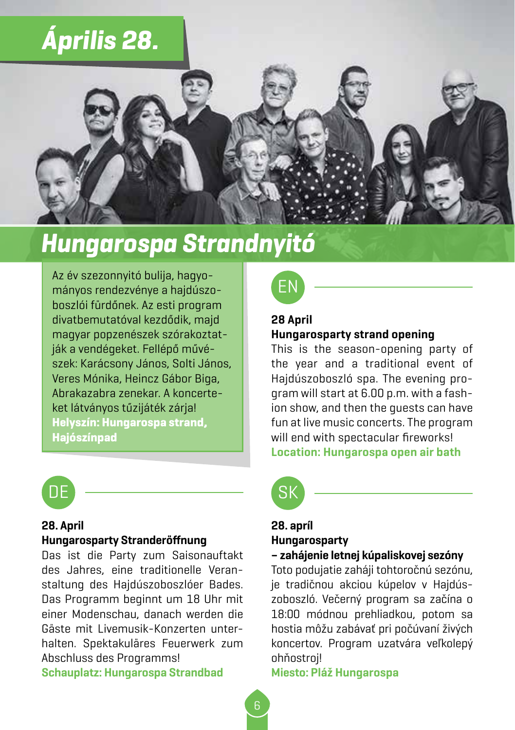

### *Hungarospa Strandnyitó*

Az év szezonnyitó bulija, hagyományos rendezvénye a hajdúszoboszlói fürdőnek. Az esti program divatbemutatóval kezdődik, majd magyar popzenészek szórakoztatják a vendégeket. Fellépő művészek: Karácsony János, Solti János, Veres Mónika, Heincz Gábor Biga, Abrakazabra zenekar. A koncerteket látványos tűzijáték zárja! **Helyszín: Hungarospa strand, Hajószínpad**



#### **28. April Hungarosparty Stranderöffnung**

Das ist die Party zum Saisonauftakt des Jahres, eine traditionelle Veranstaltung des Hajdúszoboszlóer Bades. Das Programm beginnt um 18 Uhr mit einer Modenschau, danach werden die Gäste mit Livemusik-Konzerten unterhalten. Spektakuläres Feuerwerk zum Abschluss des Programms! **Schauplatz: Hungarospa Strandbad**



#### **28 April Hungarosparty strand opening**

This is the season-opening party of the year and a traditional event of Hajdúszoboszló spa. The evening program will start at 6.00 p.m. with a fashion show, and then the guests can have fun at live music concerts. The program will end with spectacular fireworks!

**Location: Hungarospa open air bath**



#### **28. apríl Hungarosparty**

**– zahájenie letnej kúpaliskovej sezóny**

Toto podujatie zaháji tohtoročnú sezónu, je tradičnou akciou kúpelov v Hajdúszoboszló. Večerný program sa začína o 18:00 módnou prehliadkou, potom sa hostia môžu zabávať pri počúvaní živých koncertov. Program uzatvára veľkolepý ohňostroj!

**Miesto: Pláž Hungarospa**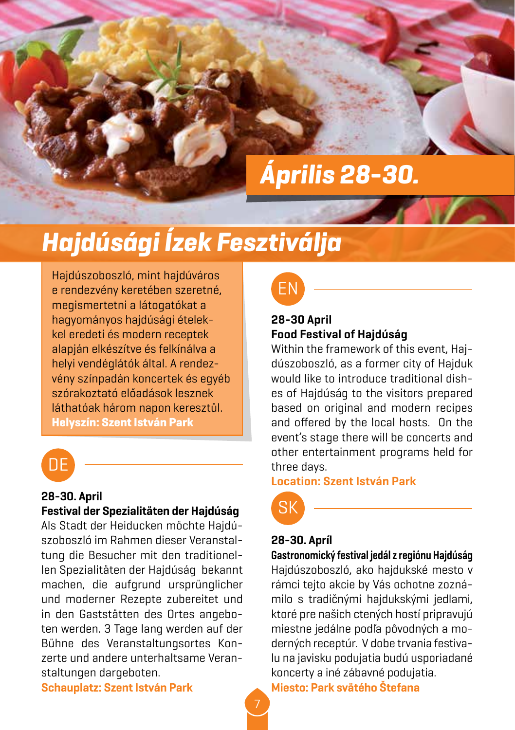# *Április 28-30.*

# *Hajdúsági Ízek Fesztiválja*

Hajdúszoboszló, mint hajdúváros e rendezvény keretében szeretné, megismertetni a látogatókat a hagyományos hajdúsági ételekkel eredeti és modern receptek alapján elkészítve és felkínálva a helyi vendéglátók által. A rendezvény színpadán koncertek és egyéb szórakoztató előadások lesznek láthatóak három napon keresztül. **Helyszín: Szent István Park**



#### **28-30. April**

#### **Festival der Spezialitäten der Hajdúság**

Als Stadt der Heiducken möchte Hajdúszoboszló im Rahmen dieser Veranstaltung die Besucher mit den traditionellen Spezialitäten der Hajdúság bekannt machen, die aufgrund ursprünglicher und moderner Rezepte zubereitet und in den Gaststätten des Ortes angeboten werden. 3 Tage lang werden auf der Bühne des Veranstaltungsortes Konzerte und andere unterhaltsame Veranstaltungen dargeboten.

**Schauplatz: Szent István Park**

EN

#### **28-30 April Food Festival of Hajdúság**

Within the framework of this event, Hajdúszoboszló, as a former city of Hajduk would like to introduce traditional dishes of Hajdúság to the visitors prepared based on original and modern recipes and offered by the local hosts. On the event's stage there will be concerts and other entertainment programs held for three days.

#### **Location: Szent István Park**



#### **28-30. Apríl**

**Gastronomický festival jedál z regiónu Hajdúság**

Hajdúszoboszló, ako hajdukské mesto v rámci tejto akcie by Vás ochotne zoznámilo s tradičnými hajdukskými jedlami, ktoré pre našich ctených hostí pripravujú miestne jedálne podľa pôvodných a moderných receptúr. V dobe trvania festivalu na javisku podujatia budú usporiadané koncerty a iné zábavné podujatia. **Miesto: Park svätého Štefana**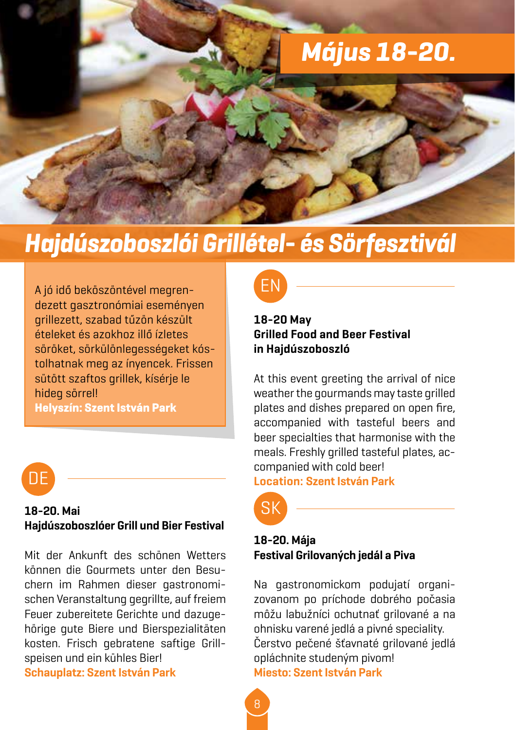# *Május 18-20.*

# *Hajdúszoboszlói Grillétel- és Sörfesztivál*

A jó idő beköszöntével megrendezett gasztronómiai eseményen grillezett, szabad tűzön készült ételeket és azokhoz illő ízletes söröket, sörkülönlegességeket kóstolhatnak meg az ínyencek. Frissen sütött szaftos grillek, kísérje le hideg sörrel!

**Helyszín: Szent István Park**



#### **18-20. Mai Hajdúszoboszlóer Grill und Bier Festival**

Mit der Ankunft des schönen Wetters können die Gourmets unter den Besuchern im Rahmen dieser gastronomischen Veranstaltung gegrillte, auf freiem Feuer zubereitete Gerichte und dazugehörige gute Biere und Bierspezialitäten kosten. Frisch gebratene saftige Grillspeisen und ein kühles Bier! **Schauplatz: Szent István Park**

EN

#### **18-20 May Grilled Food and Beer Festival in Hajdúszoboszló**

At this event greeting the arrival of nice weather the gourmands may taste grilled plates and dishes prepared on open fire, accompanied with tasteful beers and beer specialties that harmonise with the meals. Freshly grilled tasteful plates, accompanied with cold beer!

**Location: Szent István Park**



#### **18-20. Mája Festival Grilovaných jedál a Piva**

Na gastronomickom podujatí organizovanom po príchode dobrého počasia môžu labužníci ochutnať grilované a na ohnisku varené jedlá a pivné speciality. Čerstvo pečené šťavnaté grilované jedlá opláchnite studeným pivom! **Miesto: Szent István Park**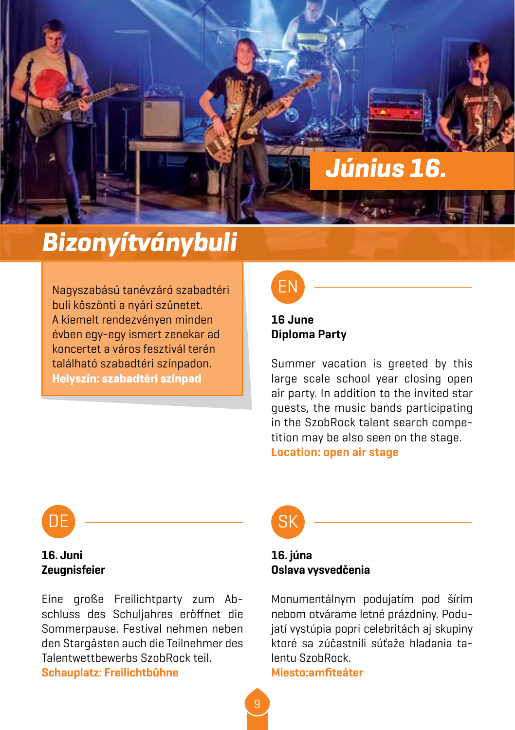

# *Bizonyítványbuli*

Nagyszabású tanévzáró szabadtéri buli köszönti a nyári szünetet. A kiemelt rendezvényen minden évben egy-egy ismert zenekar ad koncertet a város fesztivál terén található szabadtéri színpadon. **Helyszín: szabadtéri színpad**



#### **16 June Diploma Party**

Summer vacation is greeted by this large scale school year closing open air party. In addition to the invited star guests, the music bands participating in the SzobRock talent search competition may be also seen on the stage. **Location: open air stage**



#### **16. Juni Zeugnisfeier**

Eine große Freilichtparty zum Abschluss des Schuljahres eröffnet die Sommerpause. Festival nehmen neben den Stargästen auch die Teilnehmer des Talentwettbewerbs SzobRock teil. **Schauplatz: Freilichtbühne**



#### **16. júna Oslava vysvedčenia**

Monumentálnym podujatím pod šírim nebom otvárame letné prázdniny. Podujatí vystúpia popri celebritách aj skupiny ktoré sa zúčastnili súťaže hladania talentu SzobRock. **Miesto:amfiteáter**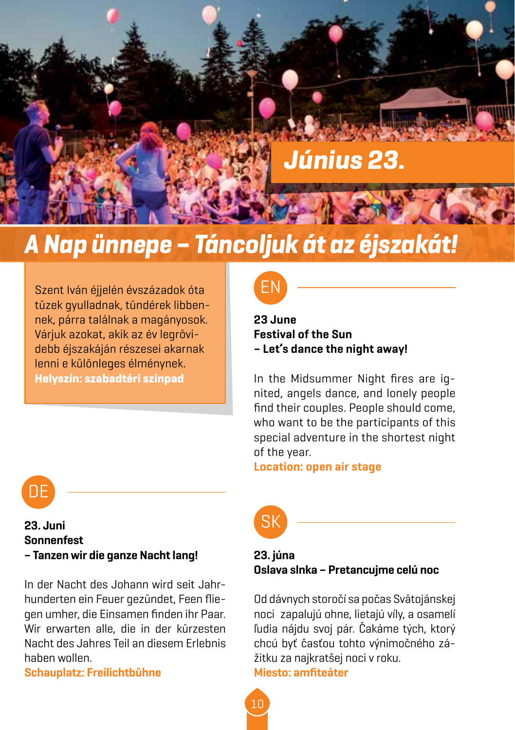# *Június 23.*

# *A Nap ünnepe – Táncoljuk át az éjszakát!*

Szent Iván éjjelén évszázadok óta tüzek gyulladnak, tündérek libbennek, párra találnak a magányosok. Várjuk azokat, akik az év legrövidebb éjszakáján részesei akarnak lenni e különleges élménynek. **Helyszín: szabadtéri színpad**



#### **23 June Festival of the Sun – Let's dance the night away!**

In the Midsummer Night fires are ignited, angels dance, and lonely people find their couples. People should come, who want to be the participants of this special adventure in the shortest night of the year.

**Location: open air stage**



#### **23. Juni Sonnenfest – Tanzen wir die ganze Nacht lang!**

In der Nacht des Johann wird seit Jahrhunderten ein Feuer gezündet, Feen fliegen umher, die Einsamen finden ihr Paar. Wir erwarten alle, die in der kürzesten Nacht des Jahres Teil an diesem Erlebnis haben wollen.

**Schauplatz: Freilichtbühne**



#### **23. júna Oslava slnka – Pretancujme celú noc**

Od dávnych storočí sa počas Svätojánskej noci zapalujú ohne, lietajú víly, a osamelí ľudia nájdu svoj pár. Čakáme tých, ktorý chcú byť časťou tohto výnimočného zážitku za najkratšej noci v roku. **Miesto: amfiteáter**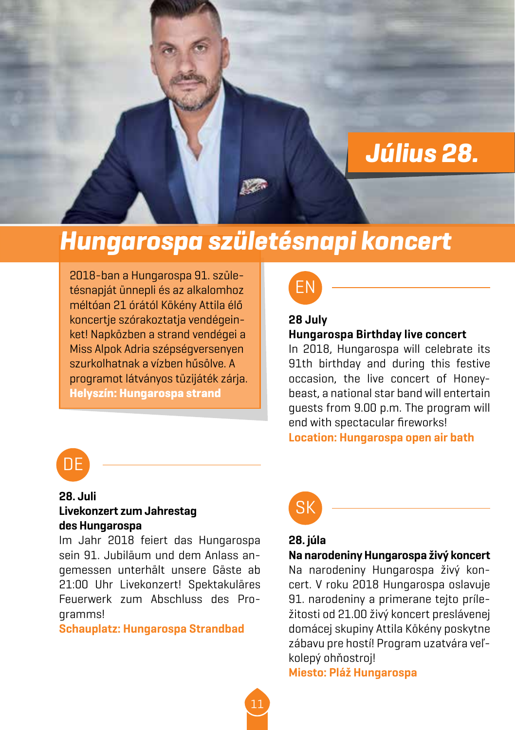

### *Hungarospa születésnapi koncert*

2018-ban a Hungarospa 91. születésnapját ünnepli és az alkalomhoz méltóan 21 órától Kökény Attila élő koncertje szórakoztatja vendégeinket! Napközben a strand vendégei a Miss Alpok Adria szépségversenyen szurkolhatnak a vízben hűsölve. A programot látványos tüzijáték zárja. **Helyszín: Hungarospa strand**



#### **28 July**

#### **Hungarospa Birthday live concert**

In 2018, Hungarospa will celebrate its 91th birthday and during this festive occasion, the live concert of Honeybeast, a national star band will entertain guests from 9.00 p.m. The program will end with spectacular fireworks! **Location: Hungarospa open air bath**



#### **28. Juli Livekonzert zum Jahrestag des Hungarospa**

Im Jahr 2018 feiert das Hungarospa sein 91. Jubiläum und dem Anlass angemessen unterhält unsere Gäste ab 21:00 Uhr Livekonzert! Spektakuläres Feuerwerk zum Abschluss des Programms!

**Schauplatz: Hungarospa Strandbad**



#### **28. júla**

**Na narodeniny Hungarospa živý koncert**

Na narodeniny Hungarospa živý koncert. V roku 2018 Hungarospa oslavuje 91. narodeniny a primerane tejto príležitosti od 21.00 živý koncert preslávenej domácej skupiny Attila Kökény poskytne zábavu pre hostí! Program uzatvára veľkolepý ohňostroj! **Miesto: Pláž Hungarospa**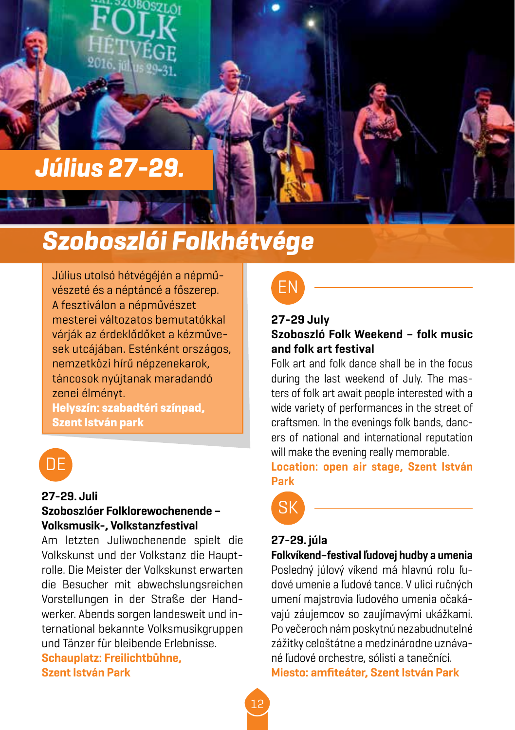# *Július 27-29.*

### *Szoboszlói Folkhétvége*

Július utolsó hétvégéjén a népművészeté és a néptáncé a főszerep. A fesztiválon a népművészet mesterei változatos bemutatókkal várják az érdeklődőket a kézművesek utcájában. Esténként országos, nemzetközi hírű népzenekarok, táncosok nyújtanak maradandó zenei élményt. **Helyszín: szabadtéri színpad, Szent István park**



**TABLE** 

#### **27-29. Juli**

#### **Szoboszlóer Folklorewochenende – Volksmusik-, Volkstanzfestival**

Am letzten Juliwochenende spielt die Volkskunst und der Volkstanz die Hauptrolle. Die Meister der Volkskunst erwarten die Besucher mit abwechslungsreichen Vorstellungen in der Straße der Handwerker. Abends sorgen landesweit und international bekannte Volksmusikgruppen und Tänzer für bleibende Erlebnisse. **Schauplatz: Freilichtbühne, Szent István Park**



#### **27-29 July**

#### **Szoboszló Folk Weekend – folk music and folk art festival**

Folk art and folk dance shall be in the focus during the last weekend of July. The masters of folk art await people interested with a wide variety of performances in the street of craftsmen. In the evenings folk bands, dancers of national and international reputation will make the evening really memorable.

**Location: open air stage, Szent István Park**



#### **27-29. júla**

**Folkvíkend–festival ľudovej hudby a umenia** Posledný júlový víkend má hlavnú rolu ľudové umenie a ľudové tance. V ulici ručných umení majstrovia ľudového umenia očakávajú záujemcov so zaujímavými ukážkami. Po večeroch nám poskytnú nezabudnutelné zážitky celoštátne a medzinárodne uznávané ľudové orchestre, sólisti a tanečníci. **Miesto: amfiteáter, Szent István Park**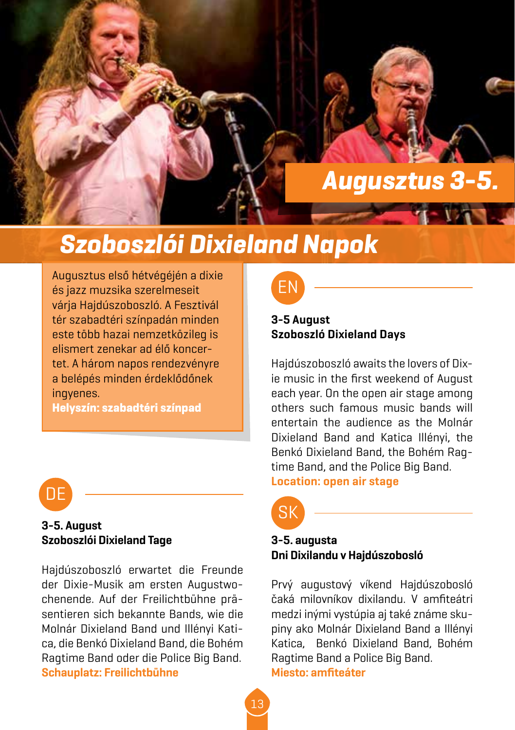### *Augusztus 3-5.*

### *Szoboszlói Dixieland Napok*

Augusztus első hétvégéjén a dixie és jazz muzsika szerelmeseit várja Hajdúszoboszló. A Fesztivál tér szabadtéri színpadán minden este több hazai nemzetközileg is elismert zenekar ad élő koncertet. A három napos rendezvényre a belépés minden érdeklődőnek ingyenes.

**Helyszín: szabadtéri színpad**



#### **3-5. August Szoboszlói Dixieland Tage**

Hajdúszoboszló erwartet die Freunde der Dixie-Musik am ersten Augustwochenende. Auf der Freilichtbühne präsentieren sich bekannte Bands, wie die Molnár Dixieland Band und Illényi Katica, die Benkó Dixieland Band, die Bohém Ragtime Band oder die Police Big Band. **Schauplatz: Freilichtbühne**

EN

#### **3-5 August Szoboszló Dixieland Days**

Hajdúszoboszló awaits the lovers of Dixie music in the first weekend of August each year. On the open air stage among others such famous music bands will entertain the audience as the Molnár Dixieland Band and Katica Illényi, the Benkó Dixieland Band, the Bohém Ragtime Band, and the Police Big Band.

**Location: open air stage**



#### **3-5. augusta Dni Dixilandu v Hajdúszobosló**

Prvý augustový víkend Hajdúszobosló čaká milovníkov dixilandu. V amfiteátri medzi inými vystúpia aj také známe skupiny ako Molnár Dixieland Band a Illényi Katica, Benkó Dixieland Band, Bohém Ragtime Band a Police Big Band. **Miesto: amfiteáter**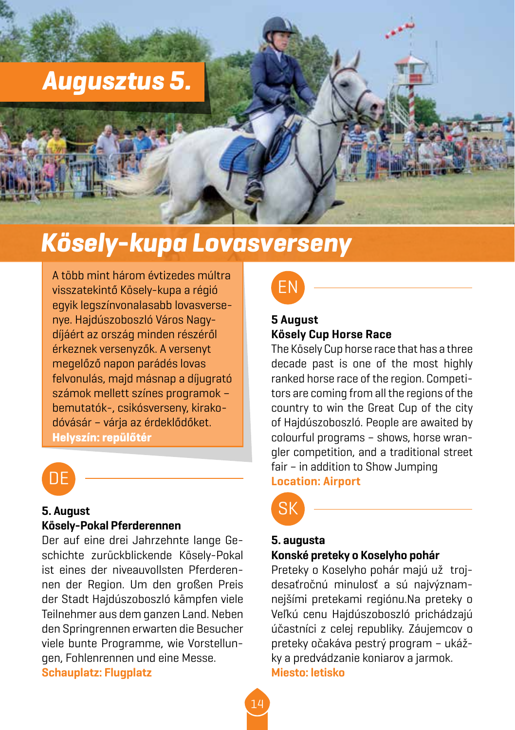

### *Kösely-kupa Lovasverseny*

A több mint három évtizedes múltra visszatekintő Kösely-kupa a régió egyik legszínvonalasabb lovasversenye. Hajdúszoboszló Város Nagydíjáért az ország minden részéről érkeznek versenyzők. A versenyt megelőző napon parádés lovas felvonulás, majd másnap a díjugrató számok mellett színes programok – bemutatók-, csikósverseny, kirakodóvásár – várja az érdeklődőket. **Helyszín: repülőtér**



#### **5. August Kösely-Pokal Pferderennen**

Der auf eine drei Jahrzehnte lange Geschichte zurückblickende Kösely-Pokal ist eines der niveauvollsten Pferderennen der Region. Um den großen Preis der Stadt Hajdúszoboszló kämpfen viele Teilnehmer aus dem ganzen Land. Neben den Springrennen erwarten die Besucher viele bunte Programme, wie Vorstellungen, Fohlenrennen und eine Messe. **Schauplatz: Flugplatz**



#### **5 August Kösely Cup Horse Race**

The Kösely Cup horse race that has a three decade past is one of the most highly ranked horse race of the region. Competitors are coming from all the regions of the country to win the Great Cup of the city of Hajdúszoboszló. People are awaited by colourful programs – shows, horse wrangler competition, and a traditional street fair – in addition to Show Jumping **Location: Airport**



#### **5. augusta Konské preteky o Koselyho pohár**

Preteky o Koselyho pohár majú už trojdesaťročnú minulosť a sú najvýznamnejšími pretekami regiónu.Na preteky o Veľkú cenu Hajdúszoboszló prichádzajú účastníci z celej republiky. Záujemcov o preteky očakáva pestrý program – ukážky a predvádzanie koniarov a jarmok. **Miesto: letisko**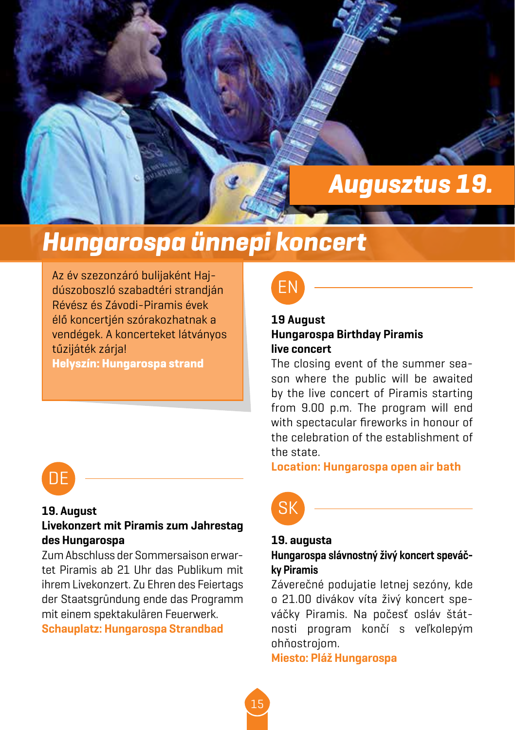### *Augusztus 19.*

# *Hungarospa ünnepi koncert*

Az év szezonzáró bulijaként Hajdúszoboszló szabadtéri strandján Révész és Závodi-Piramis évek élő koncertjén szórakozhatnak a vendégek. A koncerteket látványos tűzijáték zárja! **Helyszín: Hungarospa strand**



#### **19. August**

#### **Livekonzert mit Piramis zum Jahrestag des Hungarospa**

Zum Abschluss der Sommersaison erwartet Piramis ab 21 Uhr das Publikum mit ihrem Livekonzert. Zu Ehren des Feiertags der Staatsgründung ende das Programm mit einem spektakulären Feuerwerk. **Schauplatz: Hungarospa Strandbad**



#### **19 August Hungarospa Birthday Piramis live concert**

The closing event of the summer season where the public will be awaited by the live concert of Piramis starting from 9.00 p.m. The program will end with spectacular fireworks in honour of the celebration of the establishment of the state.

**Location: Hungarospa open air bath**



#### **19. augusta**

#### **Hungarospa slávnostný živý koncert speváčky Piramis**

Záverečné podujatie letnej sezóny, kde o 21.00 divákov víta živý koncert speváčky Piramis. Na počesť osláv štátnosti program končí s veľkolepým ohňostrojom.

**Miesto: Pláž Hungarospa**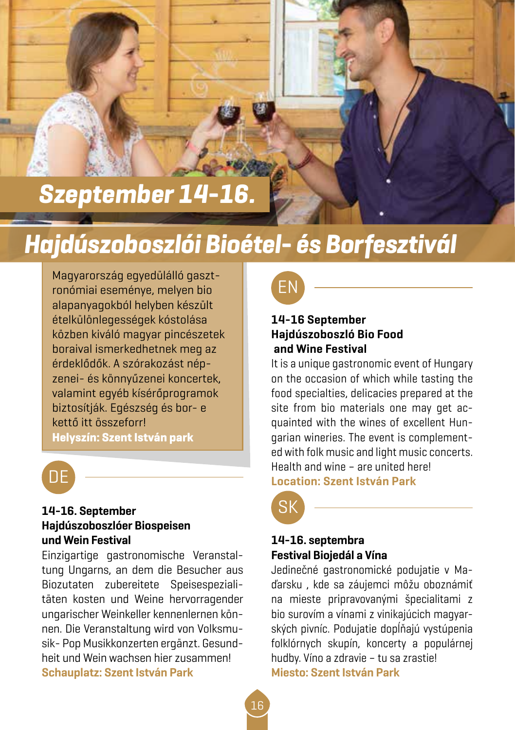# *Szeptember 14-16.*

# *Hajdúszoboszlói Bioétel- és Borfesztivál*

Magyarország egyedülálló gasztronómiai eseménye, melyen bio alapanyagokból helyben készült ételkülönlegességek kóstolása közben kiváló magyar pincészetek boraival ismerkedhetnek meg az érdeklődők. A szórakozást népzenei- és könnyűzenei koncertek, valamint egyéb kísérőprogramok biztosítják. Egészség és bor- e kettő itt összeforr! **Helyszín: Szent István park**



#### **14-16. September Hajdúszoboszlóer Biospeisen und Wein Festival**

Einzigartige gastronomische Veranstaltung Ungarns, an dem die Besucher aus Biozutaten zubereitete Speisespezialitäten kosten und Weine hervorragender ungarischer Weinkeller kennenlernen können. Die Veranstaltung wird von Volksmusik- Pop Musikkonzerten ergänzt. Gesundheit und Wein wachsen hier zusammen! **Schauplatz: Szent István Park**



#### **14-16 September Hajdúszoboszló Bio Food and Wine Festival**

It is a unique gastronomic event of Hungary on the occasion of which while tasting the food specialties, delicacies prepared at the site from bio materials one may get acquainted with the wines of excellent Hungarian wineries. The event is complemented with folk music and light music concerts. Health and wine – are united here! **Location: Szent István Park**



#### **14-16. septembra Festival Biojedál a Vína**

Jedinečné gastronomické podujatie v Maďarsku , kde sa záujemci môžu oboznámiť na mieste pripravovanými špecialitami z bio surovím a vínami z vinikajúcich magyarských pivníc. Podujatie dopĺňajú vystúpenia folklórnych skupín, koncerty a populárnej hudby. Víno a zdravie – tu sa zrastie! **Miesto: Szent István Park**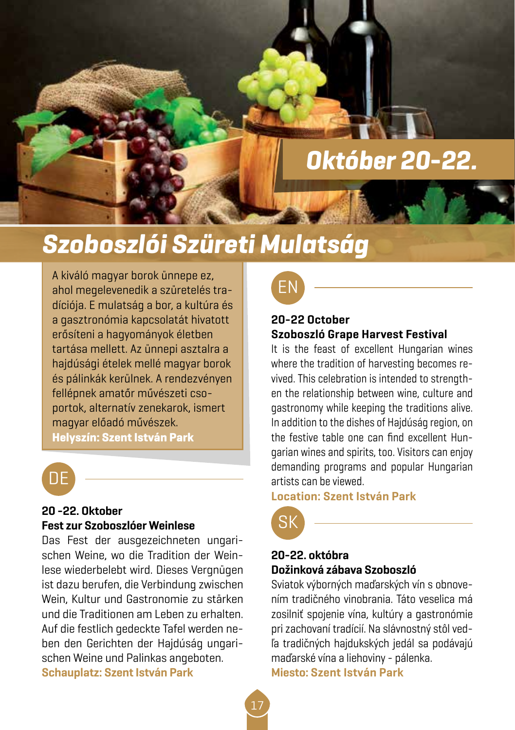

# *Szoboszlói Szüreti Mulatság*

A kiváló magyar borok ünnepe ez, ahol megelevenedik a szüretelés tradíciója. E mulatság a bor, a kultúra és a gasztronómia kapcsolatát hivatott erősíteni a hagyományok életben tartása mellett. Az ünnepi asztalra a hajdúsági ételek mellé magyar borok és pálinkák kerülnek. A rendezvényen fellépnek amatőr művészeti csoportok, alternatív zenekarok, ismert magyar előadó művészek. **Helyszín: Szent István Park**



#### **20 -22. Oktober Fest zur Szoboszlóer Weinlese**

Das Fest der ausgezeichneten ungarischen Weine, wo die Tradition der Weinlese wiederbelebt wird. Dieses Vergnügen ist dazu berufen, die Verbindung zwischen Wein, Kultur und Gastronomie zu stärken und die Traditionen am Leben zu erhalten. Auf die festlich gedeckte Tafel werden neben den Gerichten der Hajdúság ungarischen Weine und Palinkas angeboten. **Schauplatz: Szent István Park** 



#### **20-22 October Szoboszló Grape Harvest Festival**

It is the feast of excellent Hungarian wines where the tradition of harvesting becomes revived. This celebration is intended to strengthen the relationship between wine, culture and gastronomy while keeping the traditions alive. In addition to the dishes of Hajdúság region, on the festive table one can find excellent Hungarian wines and spirits, too. Visitors can enjoy demanding programs and popular Hungarian artists can be viewed.

#### **Location: Szent István Park**



#### **20-22. októbra Dožinková zábava Szoboszló**

Sviatok výborných maďarských vín s obnovením tradičného vinobrania. Táto veselica má zosilniť spojenie vína, kultúry a gastronómie pri zachovaní tradícií. Na slávnostný stôl vedľa tradičných hajdukských jedál sa podávajú maďarské vína a liehoviny - pálenka. **Miesto: Szent István Park**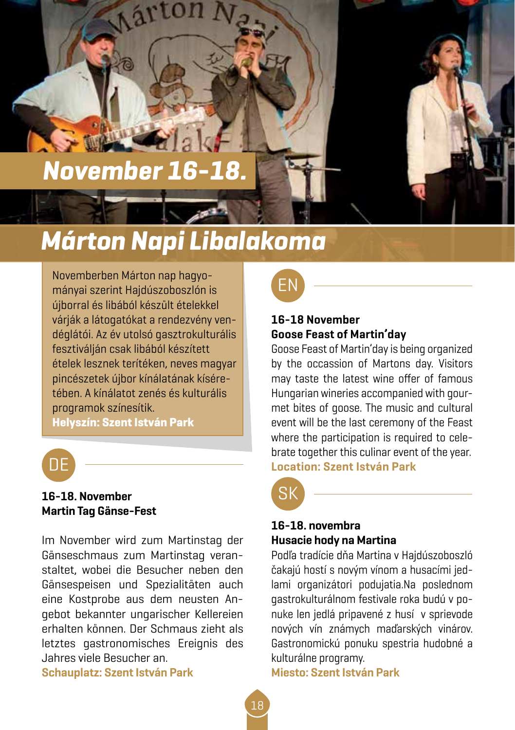# *November 16-18.*

**MALLES** 

**Aarton** 

# *Márton Napi Libalakoma*

Novemberben Márton nap hagyományai szerint Hajdúszoboszlón is újborral és libából készült ételekkel várják a látogatókat a rendezvény vendéglátói. Az év utolsó gasztrokulturális fesztiválján csak libából készített ételek lesznek terítéken, neves magyar pincészetek újbor kínálatának kíséretében. A kínálatot zenés és kulturális programok színesítik. **Helyszín: Szent István Park**



#### **16-18. November Martin Tag Gänse-Fest**

Im November wird zum Martinstag der Gänseschmaus zum Martinstag veranstaltet, wobei die Besucher neben den Gänsespeisen und Spezialitäten auch eine Kostprobe aus dem neusten Angebot bekannter ungarischer Kellereien erhalten können. Der Schmaus zieht als letztes gastronomisches Ereignis des Jahres viele Besucher an.

**Schauplatz: Szent István Park**



#### **16-18 November Goose Feast of Martin'day**

Goose Feast of Martin'day is being organized by the occassion of Martons day. Visitors may taste the latest wine offer of famous Hungarian wineries accompanied with gourmet bites of goose. The music and cultural event will be the last ceremony of the Feast where the participation is required to celebrate together this culinar event of the year. **Location: Szent István Park**



#### **16-18. novembra Husacie hody na Martina**

Podľa tradície dňa Martina v Hajdúszoboszló čakajú hostí s novým vínom a husacími jedlami organizátori podujatia.Na poslednom gastrokulturálnom festivale roka budú v ponuke len jedlá pripavené z husí v sprievode nových vín známych maďarských vinárov. Gastronomickú ponuku spestria hudobné a kulturálne programy.

**Miesto: Szent István Park**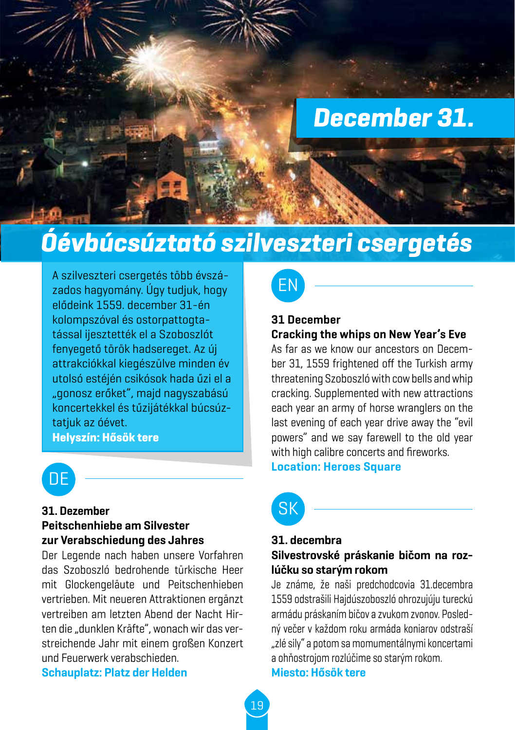

# *Óévbúcsúztató szilveszteri csergetés*

A szilveszteri csergetés több évszázados hagyomány. Úgy tudjuk, hogy elődeink 1559. december 31-én kolompszóval és ostorpattogtatással ijesztették el a Szoboszlót fenyegető török hadsereget. Az új attrakciókkal kiegészülve minden év utolsó estéjén csikósok hada űzi el a "gonosz erőket", majd nagyszabású koncertekkel és tűzijátékkal búcsúztatjuk az óévet. **Helyszín: Hősök tere**



#### **31. Dezember Peitschenhiebe am Silvester zur Verabschiedung des Jahres**

Der Legende nach haben unsere Vorfahren das Szoboszló bedrohende türkische Heer mit Glockengeläute und Peitschenhieben vertrieben. Mit neueren Attraktionen ergänzt vertreiben am letzten Abend der Nacht Hirten die "dunklen Kräfte", wonach wir das verstreichende Jahr mit einem großen Konzert und Feuerwerk verabschieden. **Schauplatz: Platz der Helden**



#### **31 December Cracking the whips on New Year's Eve**

As far as we know our ancestors on December 31, 1559 frightened off the Turkish army threatening Szoboszló with cow bells and whip cracking. Supplemented with new attractions each year an army of horse wranglers on the last evening of each year drive away the "evil powers" and we say farewell to the old year with high calibre concerts and fireworks.

**Location: Heroes Square**



#### **31. decembra Silvestrovské práskanie bičom na rozlúčku so starým rokom**

Je známe, že naši predchodcovia 31.decembra 1559 odstrašili Hajdúszoboszló ohrozujúju tureckú armádu práskaním bičov a zvukom zvonov. Posledný večer v každom roku armáda koniarov odstraší "zlé sily" a potom sa momumentálnymi koncertami a ohňostrojom rozlúčime so starým rokom. **Miesto: Hősök tere**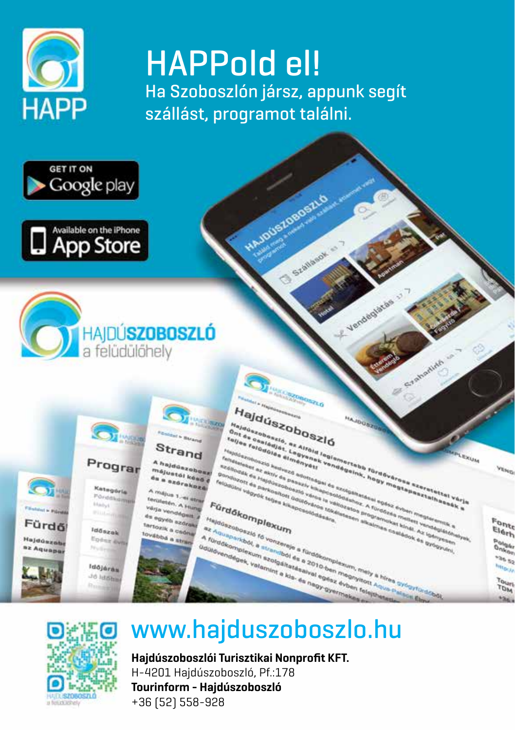

### HAPPold el! Ha Szoboszlón jársz, appunk segít szállást, programot találni.

**JOUSTON** 

Ci estate de

L. Verdequesso .











# www.hajduszoboszlo.hu

**Hajdúszoboszlói Turisztikai Nonprofit KFT.** H-4201 Hajdúszoboszló, Pf.:178 **Tourinform - Hajdúszoboszló** +36 (52) 558-928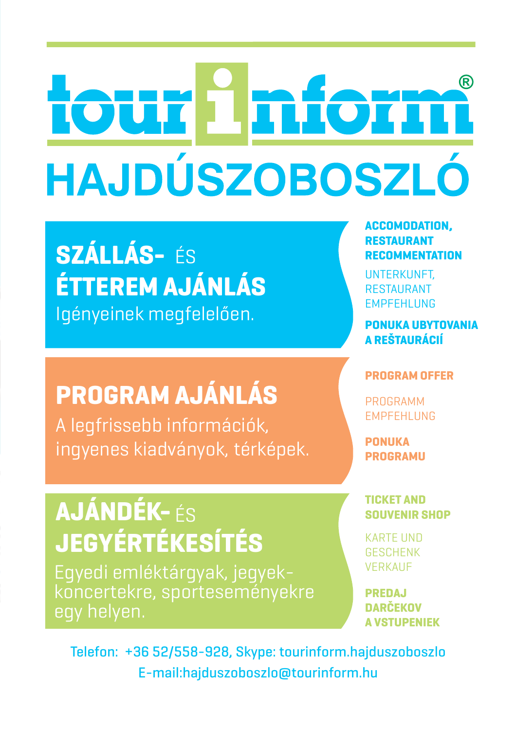# R **HAJDÚSZOBOSZLÓ**

# **SZÁLLÁS-**ÉS **ÉTTEREM AJÁNLÁS** Igényeinek megfelelően.

# **PROGRAM AJÁNLÁS**

A legfrissebb információk, ingyenes kiadványok, térképek.

# **AJÁNDÉK-**ÉS **JEGYÉRTÉKESÍTÉS**

Egyedi emléktárgyak, jegyekkoncertekre, sporteseményekre egy helyen.

#### **ACCOMODATION, RESTAURANT RECOMMENTATION**

UNTERKUNFT, **RESTAURANT EMPFFHLUNG** 

**PONUKA UBYTOVANIA A REŠTAURÁCIÍ**

#### **PROGRAM OFFER**

PROGRAMM EMPFEHLUNG

**PONUKA PROGRAMU**

#### **TICKET AND SOUVENIR SHOP**

**KARTE UND** GESCHENK **VERKAUF** 

**PREDAJ DARČEKOV A VSTUPENIEK**

Telefon: +36 52/558-928, Skype: tourinform.hajduszoboszlo E-mail:hajduszoboszlo@tourinform.hu